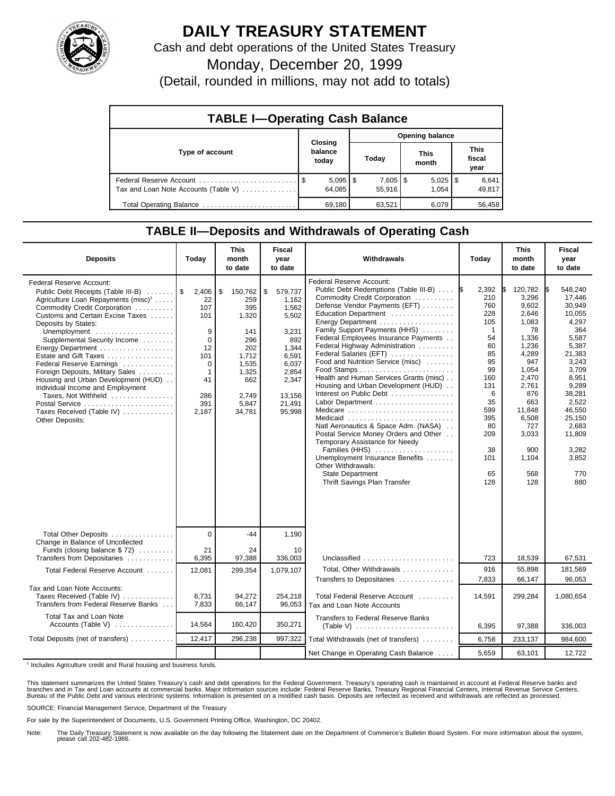

## **DAILY TREASURY STATEMENT**

Cash and debt operations of the United States Treasury

Monday, December 20, 1999

(Detail, rounded in millions, may not add to totals)

| <b>TABLE I-Operating Cash Balance</b> |  |                             |                 |                        |  |                       |  |                        |  |
|---------------------------------------|--|-----------------------------|-----------------|------------------------|--|-----------------------|--|------------------------|--|
|                                       |  |                             | Opening balance |                        |  |                       |  |                        |  |
| Type of account                       |  | Closing<br>balance<br>today |                 | Today                  |  | This<br>month         |  | This<br>fiscal<br>year |  |
| Tax and Loan Note Accounts (Table V)  |  | $5,095$   \$<br>64.085      |                 | $7,605$   \$<br>55.916 |  | $5,025$   \$<br>1.054 |  | 6,641<br>49,817        |  |
| Total Operating Balance               |  | 69.180                      |                 | 63,521                 |  | 6.079                 |  | 56.458                 |  |

## **TABLE II—Deposits and Withdrawals of Operating Cash**

| <b>Deposits</b>                                                                                                                                                                                                                                                                                                                                                                                                                                                                                                                                    | Today                                                                                                              | <b>This</b><br>month<br>to date                                                                                         | <b>Fiscal</b><br>year<br>to date                                                                                                    | Withdrawals                                                                                                                                                                                                                                                                                                                                                                                                                                                                                                                                                                                                                                                                                                                                                                 | Today                                                                                                                                                                  | <b>This</b><br>month<br>to date                                                                                                                                                               | <b>Fiscal</b><br>year<br>to date                                                                                                                                                                                |
|----------------------------------------------------------------------------------------------------------------------------------------------------------------------------------------------------------------------------------------------------------------------------------------------------------------------------------------------------------------------------------------------------------------------------------------------------------------------------------------------------------------------------------------------------|--------------------------------------------------------------------------------------------------------------------|-------------------------------------------------------------------------------------------------------------------------|-------------------------------------------------------------------------------------------------------------------------------------|-----------------------------------------------------------------------------------------------------------------------------------------------------------------------------------------------------------------------------------------------------------------------------------------------------------------------------------------------------------------------------------------------------------------------------------------------------------------------------------------------------------------------------------------------------------------------------------------------------------------------------------------------------------------------------------------------------------------------------------------------------------------------------|------------------------------------------------------------------------------------------------------------------------------------------------------------------------|-----------------------------------------------------------------------------------------------------------------------------------------------------------------------------------------------|-----------------------------------------------------------------------------------------------------------------------------------------------------------------------------------------------------------------|
| Federal Reserve Account:<br>Public Debt Receipts (Table III-B)  \$<br>Agriculture Loan Repayments (misc) <sup>1</sup><br>Commodity Credit Corporation<br>Customs and Certain Excise Taxes<br>Deposits by States:<br>Unemployment<br>Supplemental Security Income<br>Energy Department<br>Estate and Gift Taxes<br>Federal Reserve Earnings<br>Foreign Deposits, Military Sales<br>Housing and Urban Development (HUD)<br>Individual Income and Employment<br>Taxes, Not Withheld<br>Postal Service<br>Taxes Received (Table IV)<br>Other Deposits: | 2,406<br>22<br>107<br>101<br>9<br>$\mathbf 0$<br>12<br>101<br>$\Omega$<br>$\mathbf 1$<br>41<br>286<br>391<br>2,187 | \$<br>150,762<br>259<br>395<br>1,320<br>141<br>296<br>202<br>1.712<br>1.535<br>1,325<br>662<br>2.749<br>5,847<br>34,781 | \$<br>579,737<br>1.162<br>1,562<br>5,502<br>3.231<br>892<br>1,344<br>6,591<br>6.037<br>2,854<br>2,347<br>13.156<br>21,491<br>95,998 | Federal Reserve Account:<br>Public Debt Redemptions (Table III-B)<br>Commodity Credit Corporation<br>Defense Vendor Payments (EFT)<br>Education Department<br>Energy Department<br>Family Support Payments (HHS)<br>Federal Employees Insurance Payments<br>Federal Highway Administration<br>Federal Salaries (EFT)<br>Food and Nutrition Service (misc)<br>Health and Human Services Grants (misc)<br>Housing and Urban Development (HUD)<br>Interest on Public Debt<br>Labor Department<br>Medicare<br>Medicaid<br>Natl Aeronautics & Space Adm. (NASA)<br>Postal Service Money Orders and Other<br>Temporary Assistance for Needy<br>Families (HHS)<br>Unemployment Insurance Benefits<br>Other Withdrawals:<br><b>State Department</b><br>Thrift Savings Plan Transfer | 2,392<br>1\$<br>210<br>760<br>228<br>105<br>$\overline{1}$<br>54<br>60<br>85<br>95<br>99<br>160<br>131<br>6<br>35<br>599<br>395<br>80<br>209<br>38<br>101<br>65<br>128 | 120,782<br>3,296<br>9,602<br>2.646<br>1,083<br>78<br>1,336<br>1.236<br>4,289<br>947<br>1,054<br>2,470<br>2.761<br>876<br>663<br>11.848<br>6,508<br>727<br>3,033<br>900<br>1,104<br>568<br>128 | 548,240<br>17,446<br>30.949<br>10,055<br>4,297<br>364<br>5,587<br>5,387<br>21,383<br>3,243<br>3.709<br>8,951<br>9.289<br>38,281<br>2.522<br>46.550<br>25,150<br>2,683<br>11,809<br>3,282<br>3,852<br>770<br>880 |
| Total Other Deposits                                                                                                                                                                                                                                                                                                                                                                                                                                                                                                                               | $\Omega$                                                                                                           | $-44$                                                                                                                   | 1.190                                                                                                                               |                                                                                                                                                                                                                                                                                                                                                                                                                                                                                                                                                                                                                                                                                                                                                                             |                                                                                                                                                                        |                                                                                                                                                                                               |                                                                                                                                                                                                                 |
| Change in Balance of Uncollected<br>Funds (closing balance $$72$ )<br>Transfers from Depositaries                                                                                                                                                                                                                                                                                                                                                                                                                                                  | 21<br>6,395                                                                                                        | 24<br>97,388                                                                                                            | 10<br>336,003                                                                                                                       | Unclassified                                                                                                                                                                                                                                                                                                                                                                                                                                                                                                                                                                                                                                                                                                                                                                | 723                                                                                                                                                                    | 18,539                                                                                                                                                                                        | 67,531                                                                                                                                                                                                          |
| Total Federal Reserve Account                                                                                                                                                                                                                                                                                                                                                                                                                                                                                                                      | 12,081                                                                                                             | 299,354                                                                                                                 | 1.079.107                                                                                                                           | Total, Other Withdrawals<br>Transfers to Depositaries                                                                                                                                                                                                                                                                                                                                                                                                                                                                                                                                                                                                                                                                                                                       | 916<br>7,833                                                                                                                                                           | 55,898<br>66,147                                                                                                                                                                              | 181,569<br>96,053                                                                                                                                                                                               |
| Tax and Loan Note Accounts:<br>Taxes Received (Table IV)<br>Transfers from Federal Reserve Banks                                                                                                                                                                                                                                                                                                                                                                                                                                                   | 6,731<br>7,833                                                                                                     | 94,272<br>66,147                                                                                                        | 254,218<br>96,053                                                                                                                   | Total Federal Reserve Account<br>Tax and Loan Note Accounts                                                                                                                                                                                                                                                                                                                                                                                                                                                                                                                                                                                                                                                                                                                 | 14,591                                                                                                                                                                 | 299,284                                                                                                                                                                                       | 1,080,654                                                                                                                                                                                                       |
| Total Tax and Loan Note<br>Accounts (Table V)                                                                                                                                                                                                                                                                                                                                                                                                                                                                                                      | 14,564                                                                                                             | 160,420                                                                                                                 | 350,271                                                                                                                             | <b>Transfers to Federal Reserve Banks</b><br>$(Table V)$                                                                                                                                                                                                                                                                                                                                                                                                                                                                                                                                                                                                                                                                                                                    | 6,395                                                                                                                                                                  | 97,388                                                                                                                                                                                        | 336,003                                                                                                                                                                                                         |
| Total Deposits (net of transfers)                                                                                                                                                                                                                                                                                                                                                                                                                                                                                                                  | 12,417                                                                                                             | 296,238                                                                                                                 | 997,322                                                                                                                             | Total Withdrawals (net of transfers)                                                                                                                                                                                                                                                                                                                                                                                                                                                                                                                                                                                                                                                                                                                                        | 6,758                                                                                                                                                                  | 233,137                                                                                                                                                                                       | 984,600                                                                                                                                                                                                         |
|                                                                                                                                                                                                                                                                                                                                                                                                                                                                                                                                                    |                                                                                                                    |                                                                                                                         |                                                                                                                                     | Net Change in Operating Cash Balance                                                                                                                                                                                                                                                                                                                                                                                                                                                                                                                                                                                                                                                                                                                                        | 5.659                                                                                                                                                                  | 63,101                                                                                                                                                                                        | 12,722                                                                                                                                                                                                          |

<sup>1</sup> Includes Agriculture credit and Rural housing and business funds.

This statement summarizes the United States Treasury's cash and debt operations for the Federal Government. Treasury's operating cash is maintained in account at Federal Reserve banks and<br>branches and in Tax and Loan accou

SOURCE: Financial Management Service, Department of the Treasury

For sale by the Superintendent of Documents, U.S. Government Printing Office, Washington, DC 20402.

Note: The Daily Treasury Statement is now available on the day following the Statement date on the Department of Commerce's Bulletin Board System. For more information about the system, please call 202-482-1986.